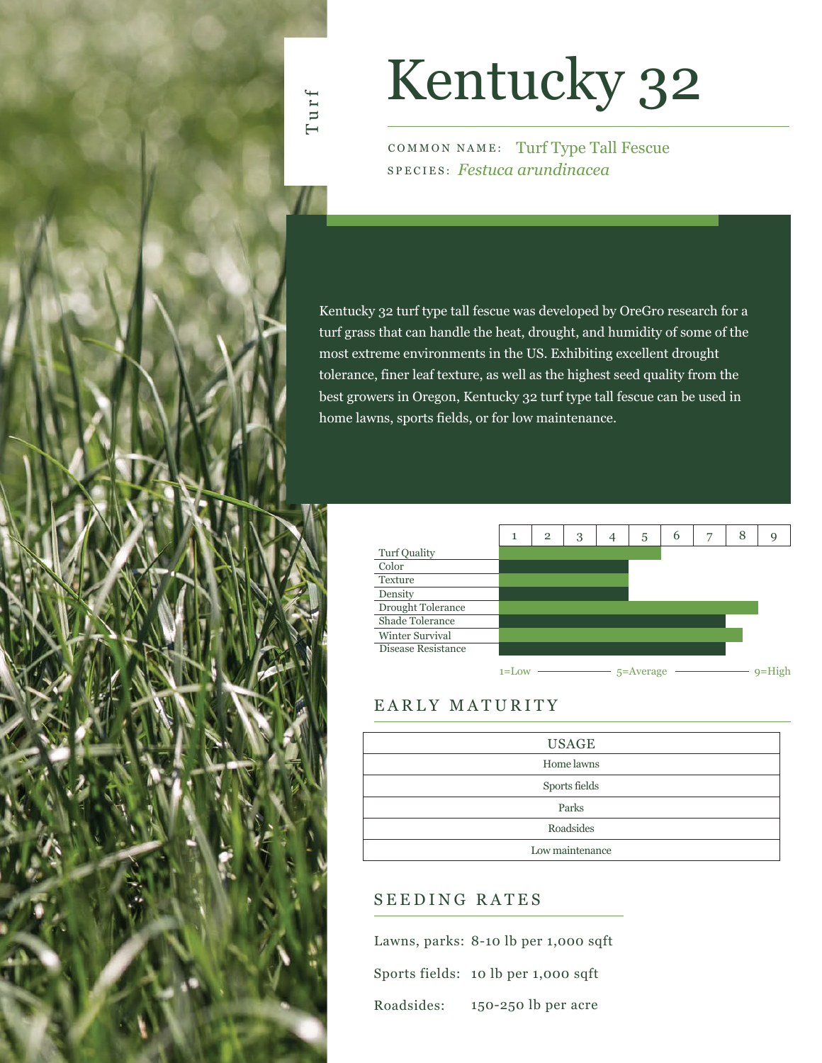

# Kentucky 32

COMMON NAME: Turf Type Tall Fescue SPECIES: *Festuca arundinacea*

Kentucky 32 turf type tall fescue was developed by OreGro research for a turf grass that can handle the heat, drought, and humidity of some of the most extreme environments in the US. Exhibiting excellent drought tolerance, finer leaf texture, as well as the highest seed quality from the best growers in Oregon, Kentucky 32 turf type tall fescue can be used in home lawns, sports fields, or for low maintenance.

|                    | 1         | $\overline{2}$ | 3 | 5             | 6 | 7 | 8 | g |
|--------------------|-----------|----------------|---|---------------|---|---|---|---|
| Turf Quality       |           |                |   |               |   |   |   |   |
| Color              |           |                |   |               |   |   |   |   |
| Texture            |           |                |   |               |   |   |   |   |
| Density            |           |                |   |               |   |   |   |   |
| Drought Tolerance  |           |                |   |               |   |   |   |   |
| Shade Tolerance    |           |                |   |               |   |   |   |   |
| Winter Survival    |           |                |   |               |   |   |   |   |
| Disease Resistance |           |                |   |               |   |   |   |   |
|                    | $1 =$ Loy |                |   | $5 =$ Average |   |   |   |   |

## EARLY MATURITY

| <b>USAGE</b>    |
|-----------------|
| Home lawns      |
| Sports fields   |
| Parks           |
| Roadsides       |
| Low maintenance |

### SEEDING RATES

|            | Lawns, parks: 8-10 lb per 1,000 sqft |
|------------|--------------------------------------|
|            | Sports fields: 10 lb per 1,000 sqft  |
| Roadsides: | $150-250$ lb per acre                |